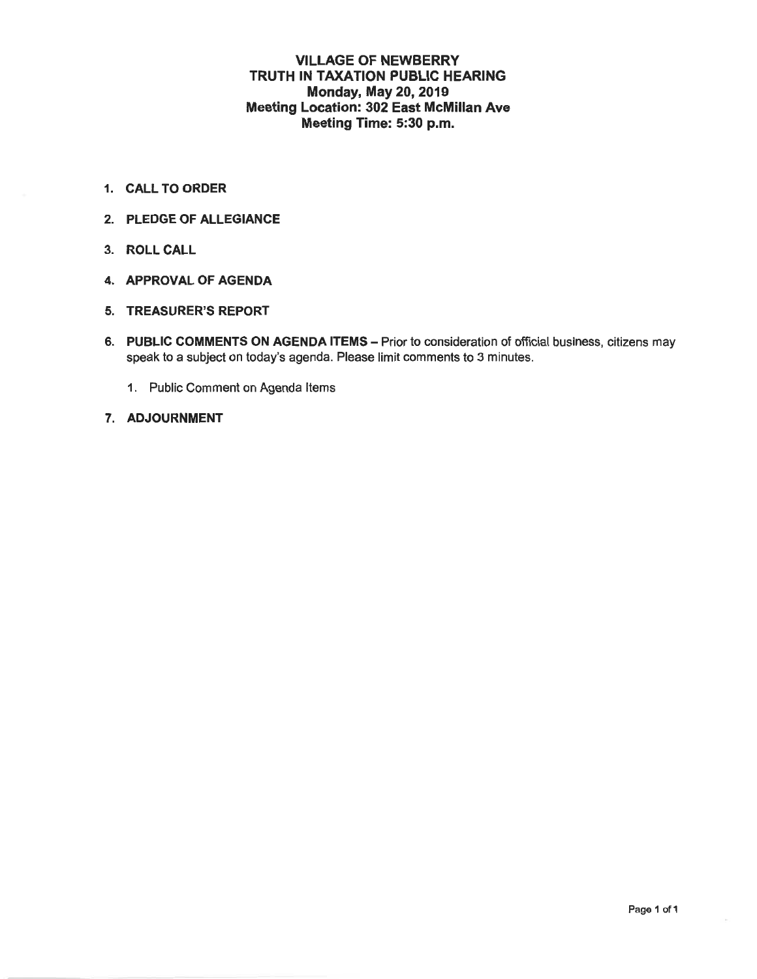### **VILLAGE OF NEWBERRY** TRUTH IN TAXATION PUBLIC HEARING **Monday, May 20, 2019 Meeting Location: 302 East McMillan Ave** Meeting Time: 5:30 p.m.

- 1. CALL TO ORDER
- 2. PLEDGE OF ALLEGIANCE
- 3. ROLL CALL
- 4. APPROVAL OF AGENDA
- 5. TREASURER'S REPORT
- 6. PUBLIC COMMENTS ON AGENDA ITEMS Prior to consideration of official business, citizens may speak to a subject on today's agenda. Please limit comments to 3 minutes.
	- 1. Public Comment on Agenda Items
- 7. ADJOURNMENT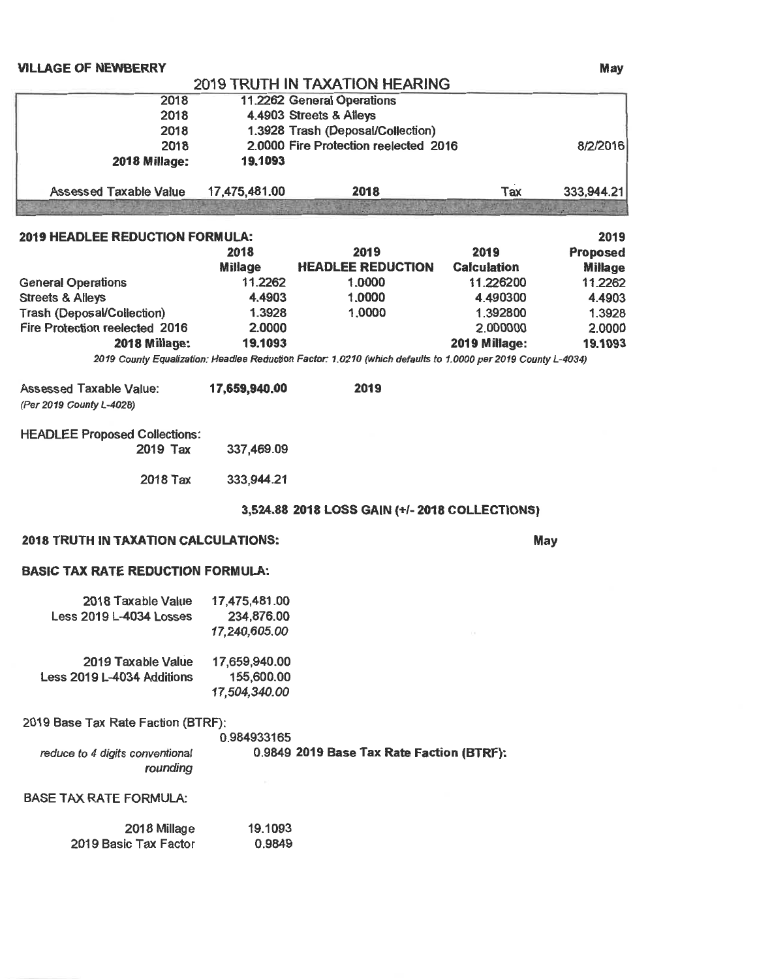#### **VILLAGE OF NEWBERRY**

## 2019 TRUTH IN TAXATION HEARING

| 2018                          |               | 11.2262 General Operations            |     |            |
|-------------------------------|---------------|---------------------------------------|-----|------------|
| 2018                          |               | 4.4903 Streets & Alleys               |     |            |
| 2018                          |               | 1.3928 Trash (Deposal/Collection)     |     |            |
| 2018                          |               | 2.0000 Fire Protection reelected 2016 |     | 8/2/2016   |
| <b>2018 Millage:</b>          | 19.1093       |                                       |     |            |
| <b>Assessed Taxable Value</b> | 17,475,481.00 | 2018                                  | Tax | 333,944.21 |

| 2019 HEADLEE REDUCTION FORMULA:   |                |                          |                    | 2019           |
|-----------------------------------|----------------|--------------------------|--------------------|----------------|
|                                   | 2018           | 2019                     | 2019               | Proposed       |
|                                   | <b>Millage</b> | <b>HEADLEE REDUCTION</b> | <b>Calculation</b> | <b>Millage</b> |
| <b>General Operations</b>         | 11.2262        | 1.0000                   | 11.226200          | 11.2262        |
| <b>Streets &amp; Alleys</b>       | 4.4903         | 1.0000                   | 4.490300           | 4.4903         |
| <b>Trash (Deposal/Collection)</b> | 1.3928         | 1.0000                   | 1.392800           | 1.3928         |
| Fire Protection reelected 2016    | 2.0000         |                          | 2.000000           | 2.0000         |
| 2018 Millage:                     | 19.1093        |                          | 2019 Millage:      | 19.1093        |
|                                   |                |                          |                    |                |

2019 County Equalization: Headlee Reduction Factor: 1.0210 (which defaults to 1.0000 per 2019 County L-4034)

| <b>Assessed Taxable Value:</b> | 17,659,940.00 | 2019 |
|--------------------------------|---------------|------|
| (Per 2019 County L-4028)       |               |      |

| <b>HEADLEE Proposed Collections:</b> | 2019 Tax | 337,469.09 |
|--------------------------------------|----------|------------|
|                                      | 2018 Tax | 333,944.21 |

#### 3,524.88 2018 LOSS GAIN (+/- 2018 COLLECTIONS)

#### **2018 TRUTH IN TAXATION CALCULATIONS:**

May

## **BASIC TAX RATE REDUCTION FORMULA:**

| 2018 Taxable Value<br>Less 2019 L-4034 Losses    | 17,475,481.00<br>234,876.00<br>17,240,605.00 |
|--------------------------------------------------|----------------------------------------------|
| 2019 Taxable Value<br>Less 2019 L-4034 Additions | 17,659,940.00<br>155,600.00<br>17,504,340.00 |

2019 Base Tax Rate Faction (BTRF):

|                                 | 0.984933165                               |
|---------------------------------|-------------------------------------------|
| reduce to 4 digits conventional | 0.9849 2019 Base Tax Rate Faction (BTRF): |
| munding                         |                                           |

#### **BASE TAX RATE FORMULA:**

| 2018 Millage          | 19.1093 |
|-----------------------|---------|
| 2019 Basic Tax Factor | 0.9849  |

May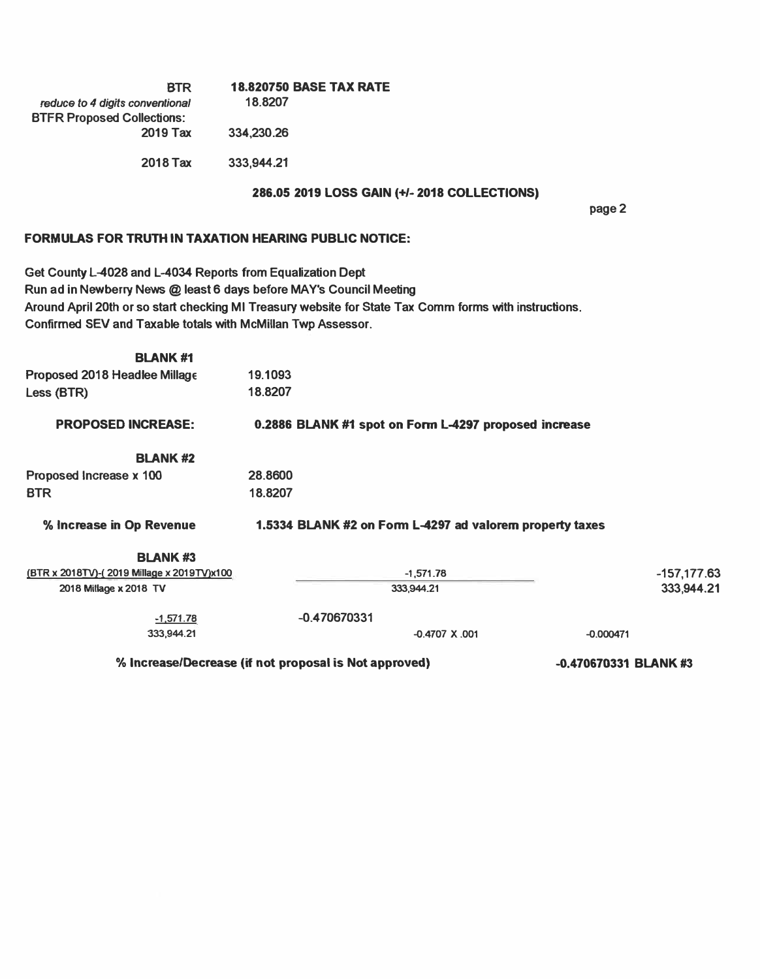| <b>BTR</b>                        | <b>18.820750 BASE TAX RATE</b> |
|-----------------------------------|--------------------------------|
| reduce to 4 digits conventional   | 18.8207                        |
| <b>BTFR Proposed Collections:</b> |                                |
| 2019 Tax                          | 334,230.26                     |
|                                   |                                |
| 2018 Tax                          | 333,944.21                     |

### **286.05 2019 LOSS GAIN (+/-2018 COLLECTIONS)**

**page 2** 

#### **FORMULAS FOR TRUTH IN TAXATION HEARING PUBLIC NOTICE:**

**Get County L-4028 and L-4034 Reports from Equalization Dept Run ad in Newberry News** @ **least 6 days before MA Y's Council Meeting Around April 20th or so start checking Ml Treasury website for State Tax Comm forms with instructions. Confirmed SEVand Taxable totals with McMillan Twp Assessor.** 

| <b>BLANK#1</b>                             |         |                                                          |                       |
|--------------------------------------------|---------|----------------------------------------------------------|-----------------------|
| Proposed 2018 Headlee Millage              | 19.1093 |                                                          |                       |
| Less (BTR)                                 | 18.8207 |                                                          |                       |
| <b>PROPOSED INCREASE:</b>                  |         | 0.2886 BLANK #1 spot on Form L-4297 proposed increase    |                       |
| <b>BLANK#2</b>                             |         |                                                          |                       |
| Proposed Increase x 100                    | 28,8600 |                                                          |                       |
| <b>BTR</b>                                 | 18.8207 |                                                          |                       |
| % Increase in Op Revenue                   |         | 1.5334 BLANK #2 on Form L-4297 ad valorem property taxes |                       |
| <b>BLANK#3</b>                             |         |                                                          |                       |
| (BTR x 2018TV)-(2019 Millage x 2019TV)x100 |         | $-1,571.78$                                              | $-157,177.63$         |
| 2018 Millage x 2018 TV                     |         | 333,944.21                                               | 333,944.21            |
| $-1,571.78$                                |         | $-0.470670331$                                           |                       |
| 333,944.21                                 |         | $-0.4707$ X .001                                         | $-0.000471$           |
|                                            |         | % Increase/Decrease (if not proposal is Not approved)    | -0.470670331 BLANK #3 |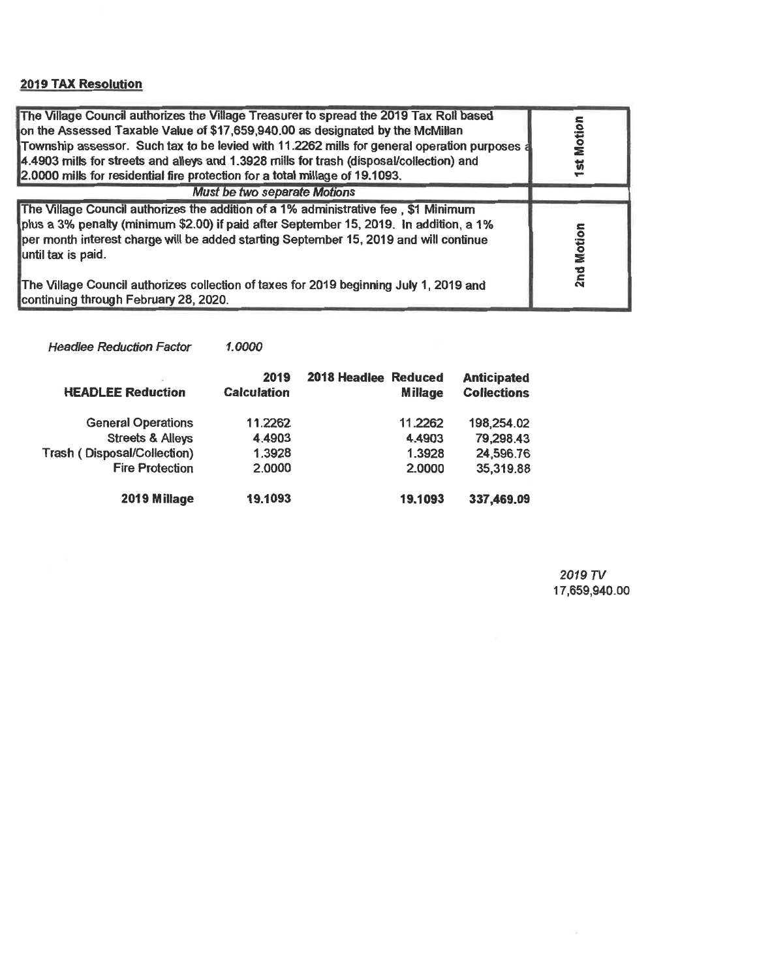# **2019 TAX Resolution**

| The Village Council authorizes the Village Treasurer to spread the 2019 Tax Roll based<br>on the Assessed Taxable Value of \$17,659,940.00 as designated by the McMillan<br>Township assessor. Such tax to be levied with 11.2262 mills for general operation purposes a<br>4.4903 mills for streets and alleys and 1.3928 mills for trash (disposal/collection) and<br>2.0000 mills for residential fire protection for a total millage of 19.1093. | Motion<br>$\overline{a}$ |
|------------------------------------------------------------------------------------------------------------------------------------------------------------------------------------------------------------------------------------------------------------------------------------------------------------------------------------------------------------------------------------------------------------------------------------------------------|--------------------------|
| Must be two separate Motions                                                                                                                                                                                                                                                                                                                                                                                                                         |                          |
| The Village Council authorizes the addition of a 1% administrative fee, \$1 Minimum<br>plus a 3% penalty (minimum \$2.00) if paid after September 15, 2019. In addition, a 1%<br>per month interest charge will be added starting September 15, 2019 and will continue<br>until tax is paid.                                                                                                                                                         | Motion                   |
| The Village Council authorizes collection of taxes for 2019 beginning July 1, 2019 and<br>continuing through February 28, 2020.                                                                                                                                                                                                                                                                                                                      | 2 <sub>nd</sub>          |

Headlee Reduction Factor 1.0000

| <b>HEADLEE Reduction</b>           | 2019<br><b>Calculation</b> | 2018 Headlee Reduced<br><b>Millage</b> | <b>Anticipated</b><br><b>Collections</b> |
|------------------------------------|----------------------------|----------------------------------------|------------------------------------------|
| <b>General Operations</b>          | 11.2262                    | 11.2262                                | 198,254.02                               |
| <b>Streets &amp; Alleys</b>        | 4.4903                     | 4.4903                                 | 79,298.43                                |
| <b>Trash (Disposal/Collection)</b> | 1.3928                     | 1.3928                                 | 24,596.76                                |
| <b>Fire Protection</b>             | 2.0000                     | 2.0000                                 | 35,319.88                                |
| 2019 Millage                       | 19.1093                    | 19.1093                                | 337,469.09                               |

2019 TV 17,659,940.00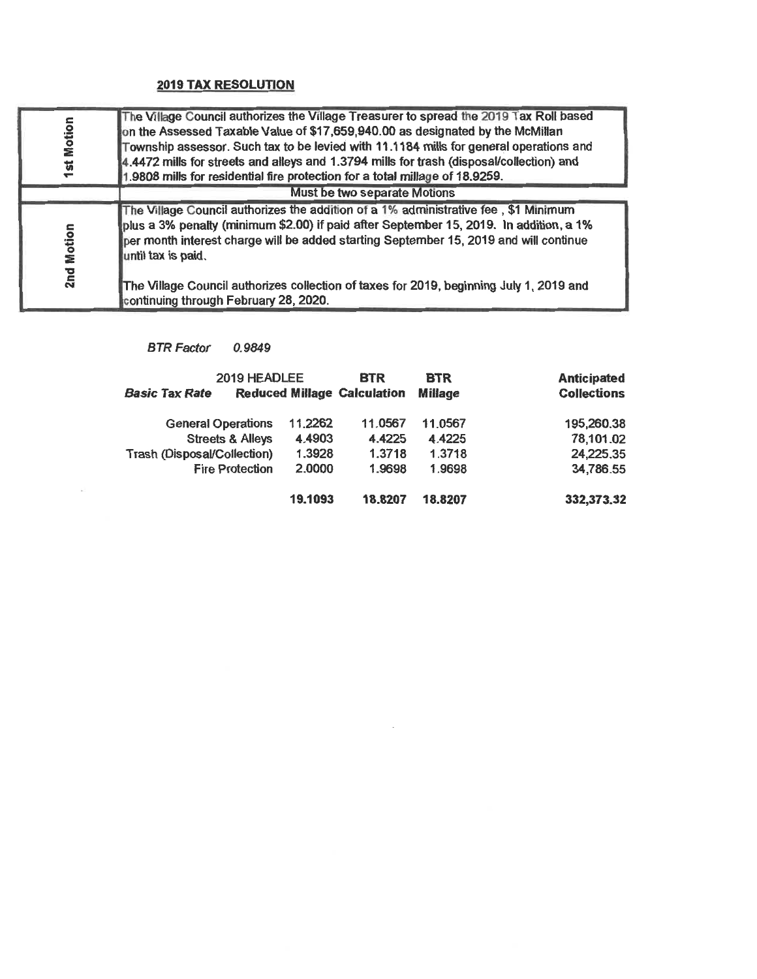## **2019 TAX RESOLUTION**

| <b>1st Motion</b> | The Village Council authorizes the Village Treasurer to spread the 2019 Tax Roll based<br>on the Assessed Taxable Value of \$17,659,940.00 as designated by the McMillan<br>Township assessor. Such tax to be levied with 11.1184 mills for general operations and<br>4.4472 mills for streets and alleys and 1.3794 mills for trash (disposal/collection) and<br>1.9808 mills for residential fire protection for a total millage of 18.9259. |  |  |
|-------------------|------------------------------------------------------------------------------------------------------------------------------------------------------------------------------------------------------------------------------------------------------------------------------------------------------------------------------------------------------------------------------------------------------------------------------------------------|--|--|
|                   | Must be two separate Motions                                                                                                                                                                                                                                                                                                                                                                                                                   |  |  |
| 2nd Motion        | The Village Council authorizes the addition of a 1% administrative fee, \$1 Minimum<br>plus a 3% penalty (minimum \$2.00) if paid after September 15, 2019. In addition, a 1%<br>per month interest charge will be added starting September 15, 2019 and will continue<br>until tax is paid.<br>The Village Council authorizes collection of taxes for 2019, beginning July 1, 2019 and<br>continuing through February 28, 2020.               |  |  |

# BTR Factor 0.9849

A

| 2019 HEADLEE<br><b>Basic Tax Rate</b> |         | <b>BTR</b><br><b>Reduced Millage Calculation</b> | <b>BTR</b><br><b>Millage</b> | <b>Anticipated</b><br><b>Collections</b> |
|---------------------------------------|---------|--------------------------------------------------|------------------------------|------------------------------------------|
| <b>General Operations</b>             | 11.2262 | 11.0567                                          | 11.0567                      | 195,260.38                               |
| <b>Streets &amp; Alleys</b>           | 4.4903  | 4.4225                                           | 4.4225                       | 78,101.02                                |
| <b>Trash (Disposal/Collection)</b>    | 1.3928  | 1.3718                                           | 1.3718                       | 24,225.35                                |
| <b>Fire Protection</b>                | 2.0000  | 1.9698                                           | 1.9698                       | 34,786.55                                |
|                                       | 19.1093 | 18.8207                                          | 18.8207                      | 332,373.32                               |

 $\sim$